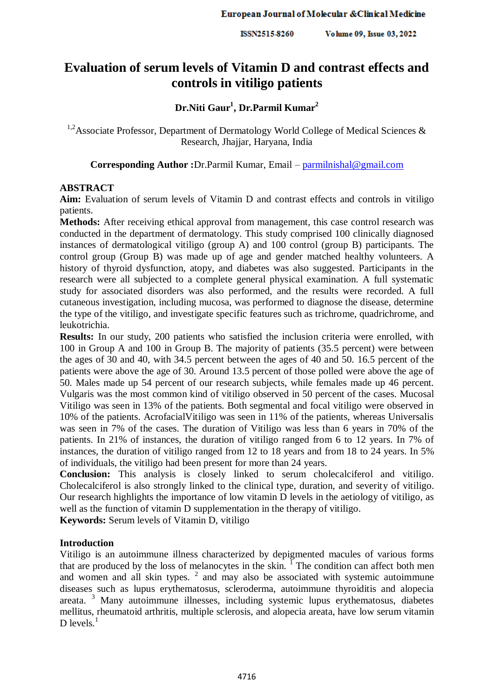ISSN2515-8260 Volume 09, Issue 03, 2022

# **Evaluation of serum levels of Vitamin D and contrast effects and controls in vitiligo patients**

# **Dr.Niti Gaur<sup>1</sup> , Dr.Parmil Kumar<sup>2</sup>**

<sup>1,2</sup>Associate Professor, Department of Dermatology World College of Medical Sciences & Research, Jhajjar, Haryana, India

**Corresponding Author :**Dr.Parmil Kumar, Email – [parmilnishal@gmail.com](mailto:parmilnishal@gmail.com)

### **ABSTRACT**

**Aim:** Evaluation of serum levels of Vitamin D and contrast effects and controls in vitiligo patients.

**Methods:** After receiving ethical approval from management, this case control research was conducted in the department of dermatology. This study comprised 100 clinically diagnosed instances of dermatological vitiligo (group A) and 100 control (group B) participants. The control group (Group B) was made up of age and gender matched healthy volunteers. A history of thyroid dysfunction, atopy, and diabetes was also suggested. Participants in the research were all subjected to a complete general physical examination. A full systematic study for associated disorders was also performed, and the results were recorded. A full cutaneous investigation, including mucosa, was performed to diagnose the disease, determine the type of the vitiligo, and investigate specific features such as trichrome, quadrichrome, and leukotrichia.

**Results:** In our study, 200 patients who satisfied the inclusion criteria were enrolled, with 100 in Group A and 100 in Group B. The majority of patients (35.5 percent) were between the ages of 30 and 40, with 34.5 percent between the ages of 40 and 50. 16.5 percent of the patients were above the age of 30. Around 13.5 percent of those polled were above the age of 50. Males made up 54 percent of our research subjects, while females made up 46 percent. Vulgaris was the most common kind of vitiligo observed in 50 percent of the cases. Mucosal Vitiligo was seen in 13% of the patients. Both segmental and focal vitiligo were observed in 10% of the patients. AcrofacialVitiligo was seen in 11% of the patients, whereas Universalis was seen in 7% of the cases. The duration of Vitiligo was less than 6 years in 70% of the patients. In 21% of instances, the duration of vitiligo ranged from 6 to 12 years. In 7% of instances, the duration of vitiligo ranged from 12 to 18 years and from 18 to 24 years. In 5% of individuals, the vitiligo had been present for more than 24 years.

**Conclusion:** This analysis is closely linked to serum cholecalciferol and vitiligo. Cholecalciferol is also strongly linked to the clinical type, duration, and severity of vitiligo. Our research highlights the importance of low vitamin D levels in the aetiology of vitiligo, as well as the function of vitamin D supplementation in the therapy of vitiligo.

**Keywords:** Serum levels of Vitamin D, vitiligo

#### **Introduction**

Vitiligo is an autoimmune illness characterized by depigmented macules of various forms that are produced by the loss of melanocytes in the skin. <sup>I</sup> The condition can affect both men and women and all skin types.  $2$  and may also be associated with systemic autoimmune diseases such as lupus erythematosus, scleroderma, autoimmune thyroiditis and alopecia areata. <sup>3</sup> Many autoimmune illnesses, including systemic lupus erythematosus, diabetes mellitus, rheumatoid arthritis, multiple sclerosis, and alopecia areata, have low serum vitamin D levels $^{-1}$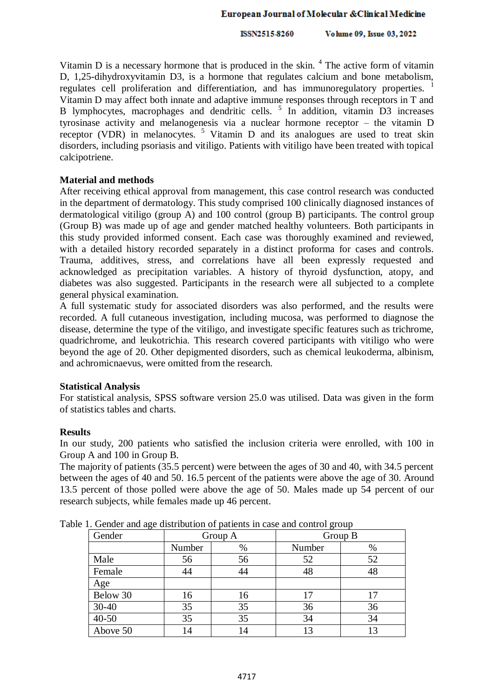ISSN2515-8260 Volume 09, Issue 03, 2022

Vitamin  $D$  is a necessary hormone that is produced in the skin.  $4$  The active form of vitamin D, 1,25-dihydroxyvitamin D3, is a hormone that regulates calcium and bone metabolism, regulates cell proliferation and differentiation, and has immunoregulatory properties.  $\frac{1}{1}$ Vitamin D may affect both innate and adaptive immune responses through receptors in T and B lymphocytes, macrophages and dendritic cells.<sup>5</sup> In addition, vitamin D3 increases tyrosinase activity and melanogenesis via a nuclear hormone receptor – the vitamin D receptor (VDR) in melanocytes.  $5$  Vitamin D and its analogues are used to treat skin disorders, including psoriasis and vitiligo. Patients with vitiligo have been treated with topical calcipotriene.

## **Material and methods**

After receiving ethical approval from management, this case control research was conducted in the department of dermatology. This study comprised 100 clinically diagnosed instances of dermatological vitiligo (group A) and 100 control (group B) participants. The control group (Group B) was made up of age and gender matched healthy volunteers. Both participants in this study provided informed consent. Each case was thoroughly examined and reviewed, with a detailed history recorded separately in a distinct proforma for cases and controls. Trauma, additives, stress, and correlations have all been expressly requested and acknowledged as precipitation variables. A history of thyroid dysfunction, atopy, and diabetes was also suggested. Participants in the research were all subjected to a complete general physical examination.

A full systematic study for associated disorders was also performed, and the results were recorded. A full cutaneous investigation, including mucosa, was performed to diagnose the disease, determine the type of the vitiligo, and investigate specific features such as trichrome, quadrichrome, and leukotrichia. This research covered participants with vitiligo who were beyond the age of 20. Other depigmented disorders, such as chemical leukoderma, albinism, and achromicnaevus, were omitted from the research.

#### **Statistical Analysis**

For statistical analysis, SPSS software version 25.0 was utilised. Data was given in the form of statistics tables and charts.

#### **Results**

In our study, 200 patients who satisfied the inclusion criteria were enrolled, with 100 in Group A and 100 in Group B.

The majority of patients (35.5 percent) were between the ages of 30 and 40, with 34.5 percent between the ages of 40 and 50. 16.5 percent of the patients were above the age of 30. Around 13.5 percent of those polled were above the age of 50. Males made up 54 percent of our research subjects, while females made up 46 percent.

| Gender    | r. Ochaci and ago distribution of patients in ease and control group<br>Group A |      | Group B |    |  |
|-----------|---------------------------------------------------------------------------------|------|---------|----|--|
|           | Number                                                                          | $\%$ | Number  | %  |  |
| Male      | 56                                                                              | 56   | 52      | 52 |  |
| Female    | 44                                                                              | 44   | 48      | 48 |  |
| Age       |                                                                                 |      |         |    |  |
| Below 30  | 16                                                                              | 16   | 17      |    |  |
| $30 - 40$ | 35                                                                              | 35   | 36      | 36 |  |
| $40 - 50$ | 35                                                                              | 35   | 34      | 34 |  |
| Above 50  | 14                                                                              | 14   | 13      |    |  |

Table 1. Gender and age distribution of patients in case and control group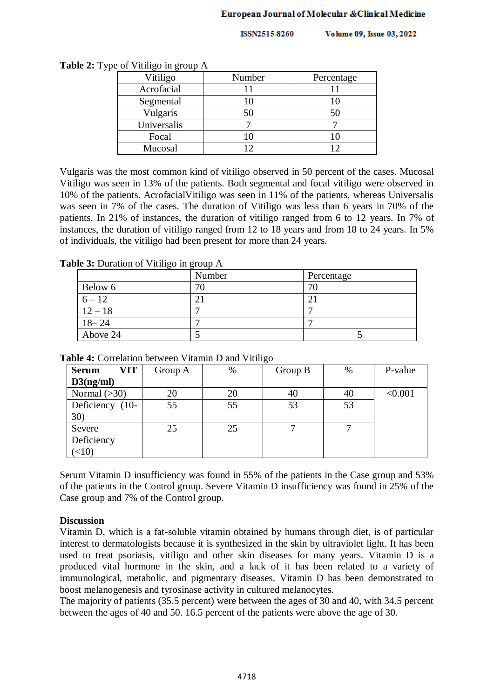#### European Journal of Molecular & Clinical Medicine

**ISSN2515-8260** Volume 09, Issue 03, 2022

| Vitiligo    | Number | Percentage |  |
|-------------|--------|------------|--|
| Acrofacial  |        |            |  |
| Segmental   |        |            |  |
| Vulgaris    | 50     | 50         |  |
| Universalis |        |            |  |
| Focal       |        |            |  |
| Mucosal     |        |            |  |

**Table 2:** Type of Vitiligo in group A

Vulgaris was the most common kind of vitiligo observed in 50 percent of the cases. Mucosal Vitiligo was seen in 13% of the patients. Both segmental and focal vitiligo were observed in 10% of the patients. AcrofacialVitiligo was seen in 11% of the patients, whereas Universalis was seen in 7% of the cases. The duration of Vitiligo was less than 6 years in 70% of the patients. In 21% of instances, the duration of vitiligo ranged from 6 to 12 years. In 7% of instances, the duration of vitiligo ranged from 12 to 18 years and from 18 to 24 years. In 5% of individuals, the vitiligo had been present for more than 24 years.

**Table 3:** Duration of Vitiligo in group A

|           | Number | Percentage |
|-----------|--------|------------|
| Below 6   | 70     | 70         |
| $6 - 12$  |        |            |
| $12 - 18$ |        |            |
| $18 - 24$ |        |            |
| Above 24  |        |            |

| VIT<br><b>Serum</b> | Group A | $\%$ | Group B | $\%$ | P-value |
|---------------------|---------|------|---------|------|---------|
| D3(ng/ml)           |         |      |         |      |         |
| Normal $(>30)$      | 20      | 20   | 40      | 40   | < 0.001 |
| Deficiency (10-     | 55      | 55   | 53      | 53   |         |
| 30)                 |         |      |         |      |         |
| Severe              | 25      | 25   |         |      |         |
| Deficiency          |         |      |         |      |         |
| (<10)               |         |      |         |      |         |

**Table 4:** Correlation between Vitamin D and Vitiligo

Serum Vitamin D insufficiency was found in 55% of the patients in the Case group and 53% of the patients in the Control group. Severe Vitamin D insufficiency was found in 25% of the Case group and 7% of the Control group.

# **Discussion**

Vitamin D, which is a fat-soluble vitamin obtained by humans through diet, is of particular interest to dermatologists because it is synthesized in the skin by ultraviolet light. It has been used to treat psoriasis, vitiligo and other skin diseases for many years. Vitamin D is a produced vital hormone in the skin, and a lack of it has been related to a variety of immunological, metabolic, and pigmentary diseases. Vitamin D has been demonstrated to boost melanogenesis and tyrosinase activity in cultured melanocytes.

The majority of patients (35.5 percent) were between the ages of 30 and 40, with 34.5 percent between the ages of 40 and 50. 16.5 percent of the patients were above the age of 30.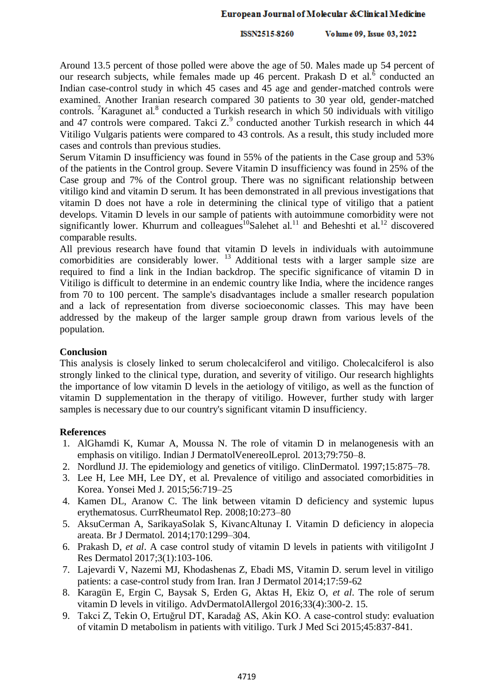#### European Journal of Molecular & Clinical Medicine

Volume 09, Issue 03, 2022 ISSN2515-8260

Around 13.5 percent of those polled were above the age of 50. Males made up 54 percent of our research subjects, while females made up 46 percent. Prakash D et al. $\delta$  conducted an Indian case-control study in which 45 cases and 45 age and gender-matched controls were examined. Another Iranian research compared 30 patients to 30 year old, gender-matched controls. <sup>7</sup>Karagunet al.<sup>8</sup> conducted a Turkish research in which 50 individuals with vitiligo and 47 controls were compared. Takci  $Z^9$  conducted another Turkish research in which 44 Vitiligo Vulgaris patients were compared to 43 controls. As a result, this study included more cases and controls than previous studies.

Serum Vitamin D insufficiency was found in 55% of the patients in the Case group and 53% of the patients in the Control group. Severe Vitamin D insufficiency was found in 25% of the Case group and 7% of the Control group. There was no significant relationship between vitiligo kind and vitamin D serum. It has been demonstrated in all previous investigations that vitamin D does not have a role in determining the clinical type of vitiligo that a patient develops. Vitamin D levels in our sample of patients with autoimmune comorbidity were not significantly lower. Khurrum and colleagues<sup>10</sup>Salehet al.<sup>11</sup> and Beheshti et al.<sup>12</sup> discovered comparable results.

All previous research have found that vitamin D levels in individuals with autoimmune comorbidities are considerably lower. <sup>13</sup> Additional tests with a larger sample size are required to find a link in the Indian backdrop. The specific significance of vitamin D in Vitiligo is difficult to determine in an endemic country like India, where the incidence ranges from 70 to 100 percent. The sample's disadvantages include a smaller research population and a lack of representation from diverse socioeconomic classes. This may have been addressed by the makeup of the larger sample group drawn from various levels of the population.

#### **Conclusion**

This analysis is closely linked to serum cholecalciferol and vitiligo. Cholecalciferol is also strongly linked to the clinical type, duration, and severity of vitiligo. Our research highlights the importance of low vitamin D levels in the aetiology of vitiligo, as well as the function of vitamin D supplementation in the therapy of vitiligo. However, further study with larger samples is necessary due to our country's significant vitamin D insufficiency.

#### **References**

- 1. AlGhamdi K, Kumar A, Moussa N. The role of vitamin D in melanogenesis with an emphasis on vitiligo. Indian J DermatolVenereolLeprol. 2013;79:750–8.
- 2. Nordlund JJ. The epidemiology and genetics of vitiligo. ClinDermatol. 1997;15:875–78.
- 3. Lee H, Lee MH, Lee DY, et al. Prevalence of vitiligo and associated comorbidities in Korea. Yonsei Med J. 2015;56:719–25
- 4. Kamen DL, Aranow C. The link between vitamin D deficiency and systemic lupus erythematosus. CurrRheumatol Rep. 2008;10:273–80
- 5. AksuCerman A, SarikayaSolak S, KivancAltunay I. Vitamin D deficiency in alopecia areata. Br J Dermatol. 2014;170:1299–304.
- 6. Prakash D, *et al*. A case control study of vitamin D levels in patients with vitiligoInt J Res Dermatol 2017;3(1):103-106.
- 7. Lajevardi V, Nazemi MJ, Khodashenas Z, Ebadi MS, Vitamin D. serum level in vitiligo patients: a case-control study from Iran. Iran J Dermatol 2014;17:59-62
- 8. Karagün E, Ergin C, Baysak S, Erden G, Aktas H, Ekiz O, *et al*. The role of serum vitamin D levels in vitiligo. AdvDermatolAllergol 2016;33(4):300-2. 15.
- 9. Takci Z, Tekin O, Ertuğrul DT, Karadağ AS, Akin KO. A case-control study: evaluation of vitamin D metabolism in patients with vitiligo. Turk J Med Sci 2015;45:837-841.